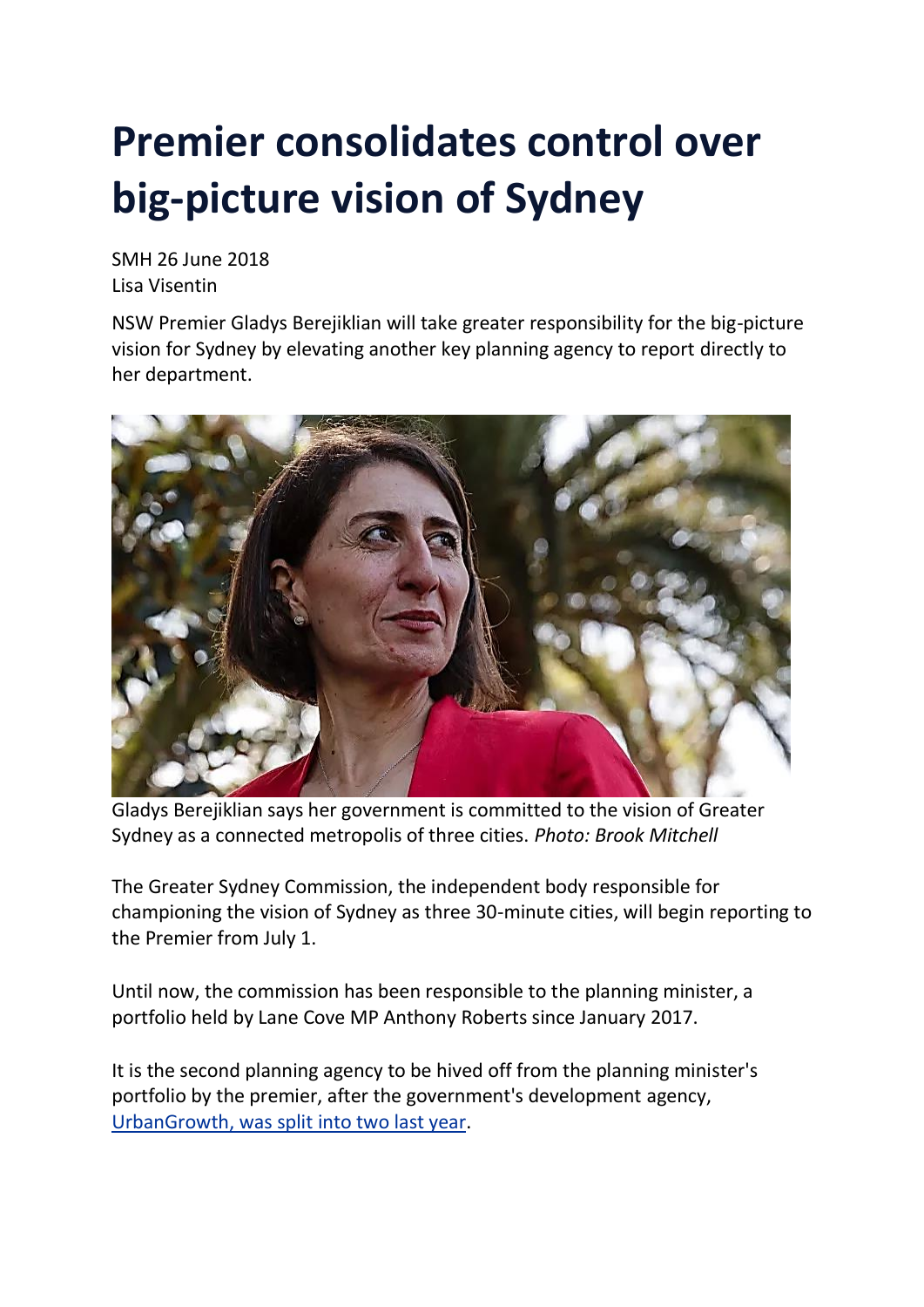## **Premier consolidates control over big-picture vision of Sydney**

SMH 26 June 2018 Lisa Visentin

NSW Premier Gladys Berejiklian will take greater responsibility for the big-picture vision for Sydney by elevating another key planning agency to report directly to her department.



Gladys Berejiklian says her government is committed to the vision of Greater Sydney as a connected metropolis of three cities. *Photo: Brook Mitchell*

The Greater Sydney Commission, the independent body responsible for championing the vision of Sydney as three 30-minute cities, will begin reporting to the Premier from July 1.

Until now, the commission has been responsible to the planning minister, a portfolio held by Lane Cove MP Anthony Roberts since January 2017.

It is the second planning agency to be hived off from the planning minister's portfolio by the premier, after the government's development agency, [UrbanGrowth,](https://www.smh.com.au/national/nsw/berejiklian-takes-control-of-bays-precinct-central-to-eveleigh-20170316-guz7e3.html) was split into two last year.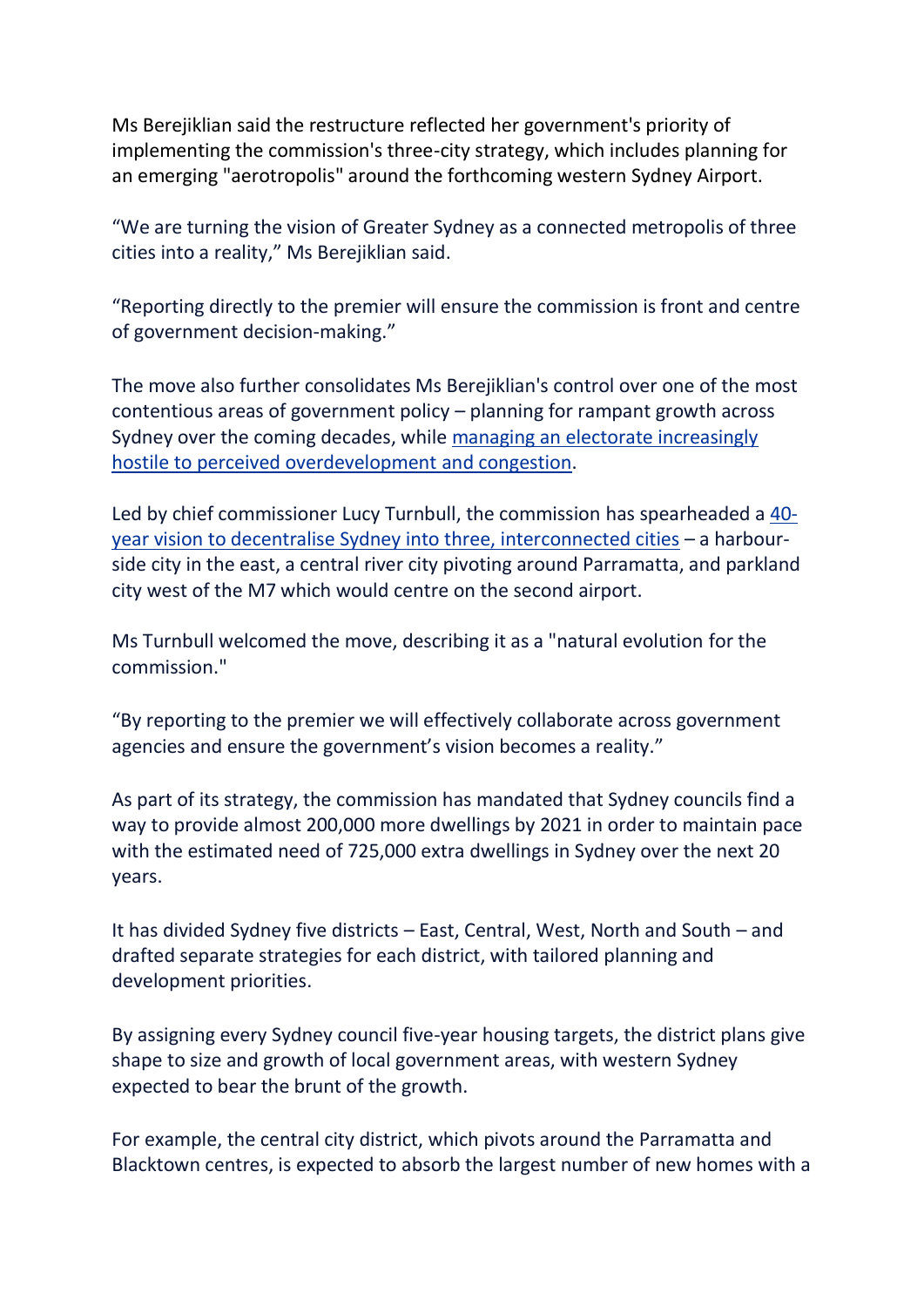Ms Berejiklian said the restructure reflected her government's priority of implementing the commission's three-city strategy, which includes planning for an emerging "aerotropolis" around the forthcoming western Sydney Airport.

"We are turning the vision of Greater Sydney as a connected metropolis of three cities into a reality," Ms Berejiklian said.

"Reporting directly to the premier will ensure the commission is front and centre of government decision-making."

The move also further consolidates Ms Berejiklian's control over one of the most contentious areas of government policy – planning for rampant growth across Sydney over the coming decades, while managing an electorate [increasingly](https://www.smh.com.au/business/companies/sydneysiders-in-revolt-over-development-as-two-thirds-declare-the-city-is-full-20171008-gywl1c.html) hostile to perceived [overdevelopment](https://www.smh.com.au/business/companies/sydneysiders-in-revolt-over-development-as-two-thirds-declare-the-city-is-full-20171008-gywl1c.html) and congestion.

Led by chief commissioner Lucy Turnbull, the commission has spearheaded a [40](https://www.smh.com.au/national/nsw/lucy-turnbull-unveils-plan-for-three-sydneys-20171022-gz5un4.html) year vision to decentralise Sydney into three, [interconnected](https://www.smh.com.au/national/nsw/lucy-turnbull-unveils-plan-for-three-sydneys-20171022-gz5un4.html) cities – a harbourside city in the east, a central river city pivoting around Parramatta, and parkland city west of the M7 which would centre on the second airport.

Ms Turnbull welcomed the move, describing it as a "natural evolution for the commission."

"By reporting to the premier we will effectively collaborate across government agencies and ensure the government's vision becomes a reality."

As part of its strategy, the commission has mandated that Sydney councils find a way to provide almost 200,000 more dwellings by 2021 in order to maintain pace with the estimated need of 725,000 extra dwellings in Sydney over the next 20 years.

It has divided Sydney five districts – East, Central, West, North and South – and drafted separate strategies for each district, with tailored planning and development priorities.

By assigning every Sydney council five-year housing targets, the district plans give shape to size and growth of local government areas, with western Sydney expected to bear the brunt of the growth.

For example, the central city district, which pivots around the Parramatta and Blacktown centres, is expected to absorb the largest number of new homes with a